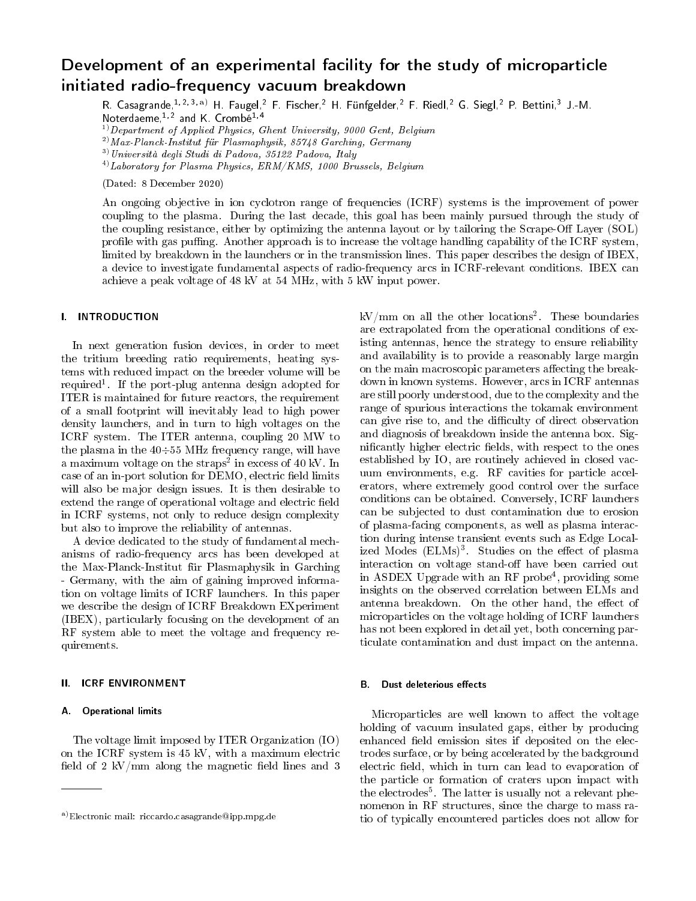# Development of an experimental facility for the study of microparticle initiated radio-frequency vacuum breakdown

R. Casagrande, 1, 2, 3, a) H. Faugel, <sup>2</sup> F. Fischer, <sup>2</sup> H. Fünfgelder, <sup>2</sup> F. Riedl, <sup>2</sup> G. Siegl, <sup>2</sup> P. Bettini, <sup>3</sup> J.-M. Noterdaeme,<sup>1,2</sup> and K. Crombe<sup>1,4</sup>

 $1)$  Department of Applied Physics, Ghent University, 9000 Gent, Belgium

 $^{2)}$  Max-Planck-Institut für Plasmaphysik, 85748 Garching, Germany

 $3)$ Università degli Studi di Padova, 35122 Padova, Italy

 $^{4)}$ Laboratory for Plasma Physics, ERM/KMS, 1000 Brussels, Belgium

(Dated: 8 December 2020)

An ongoing objective in ion cyclotron range of frequencies (ICRF) systems is the improvement of power coupling to the plasma. During the last decade, this goal has been mainly pursued through the study of the coupling resistance, either by optimizing the antenna layout or by tailoring the Scrape-Off Layer (SOL) profile with gas puffing. Another approach is to increase the voltage handling capability of the ICRF system, limited by breakdown in the launchers or in the transmission lines. This paper describes the design of IBEX, a device to investigate fundamental aspects of radio-frequency arcs in ICRF-relevant conditions. IBEX can achieve a peak voltage of 48 kV at 54 MHz, with 5 kW input power.

# I. INTRODUCTION

In next generation fusion devices, in order to meet the tritium breeding ratio requirements, heating systems with reduced impact on the breeder volume will be required<sup>1</sup>. If the port-plug antenna design adopted for ITER is maintained for future reactors, the requirement of a small footprint will inevitably lead to high power density launchers, and in turn to high voltages on the ICRF system. The ITER antenna, coupling 20 MW to the plasma in the  $40\div 55$  MHz frequency range, will have a maximum voltage on the  $\text{straps}^2$  in excess of 40 kV. In case of an in-port solution for DEMO, electric field limits will also be major design issues. It is then desirable to extend the range of operational voltage and electric field in ICRF systems, not only to reduce design complexity but also to improve the reliability of antennas.

A device dedicated to the study of fundamental mechanisms of radio-frequency arcs has been developed at the Max-Planck-Institut für Plasmaphysik in Garching - Germany, with the aim of gaining improved information on voltage limits of ICRF launchers. In this paper we describe the design of ICRF Breakdown EXperiment (IBEX), particularly focusing on the development of an RF system able to meet the voltage and frequency requirements.

#### II. ICRF ENVIRONMENT

# A. Operational limits

The voltage limit imposed by ITER Organization (IO) on the ICRF system is 45 kV, with a maximum electric field of 2 kV/mm along the magnetic field lines and 3

 $\mathrm{kV/mm}$  on all the other locations<sup>2</sup>. These boundaries are extrapolated from the operational conditions of existing antennas, hence the strategy to ensure reliability and availability is to provide a reasonably large margin on the main macroscopic parameters affecting the breakdown in known systems. However, arcs in ICRF antennas are still poorly understood, due to the complexity and the range of spurious interactions the tokamak environment can give rise to, and the difficulty of direct observation and diagnosis of breakdown inside the antenna box. Significantly higher electric fields, with respect to the ones established by IO, are routinely achieved in closed vacuum environments, e.g. RF cavities for particle accelerators, where extremely good control over the surface conditions can be obtained. Conversely, ICRF launchers can be subjected to dust contamination due to erosion of plasma-facing components, as well as plasma interaction during intense transient events such as Edge Localized Modes (ELMs)<sup>3</sup>. Studies on the effect of plasma interaction on voltage stand-off have been carried out in ASDEX Upgrade with an RF probe<sup>4</sup>, providing some insights on the observed correlation between ELMs and antenna breakdown. On the other hand, the effect of microparticles on the voltage holding of ICRF launchers has not been explored in detail yet, both concerning particulate contamination and dust impact on the antenna.

#### **B.** Dust deleterious effects

Microparticles are well known to affect the voltage holding of vacuum insulated gaps, either by producing enhanced field emission sites if deposited on the electrodes surface, or by being accelerated by the background electric field, which in turn can lead to evaporation of the particle or formation of craters upon impact with the electrodes<sup>5</sup>. The latter is usually not a relevant phenomenon in RF structures, since the charge to mass ratio of typically encountered particles does not allow for

a)Electronic mail: riccardo.casagrande@ipp.mpg.de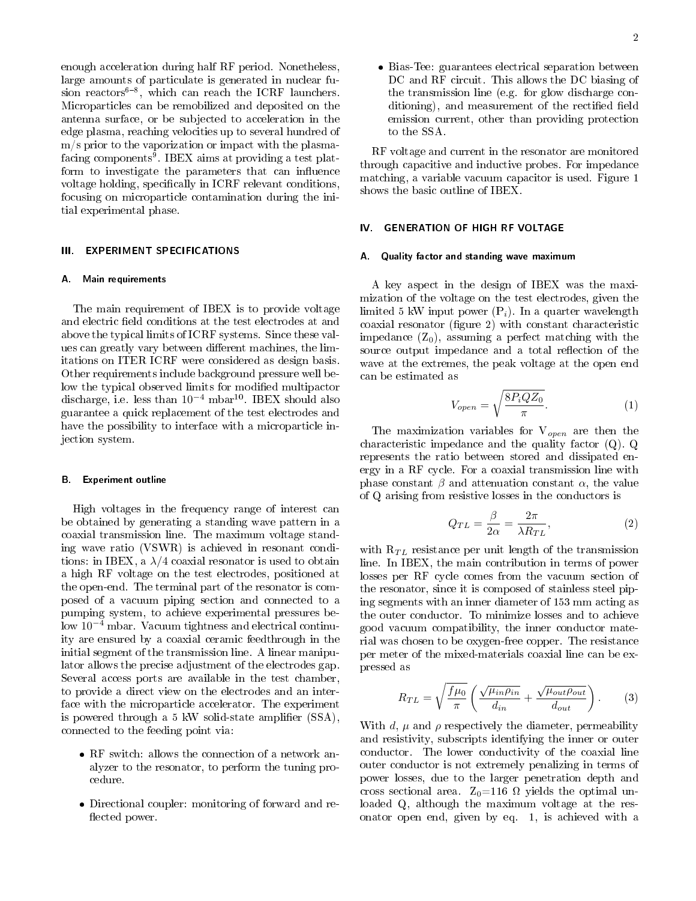enough acceleration during half RF period. Nonetheless, large amounts of particulate is generated in nuclear fusion reactors $6-8$ , which can reach the ICRF launchers. Microparticles can be remobilized and deposited on the antenna surface, or be subjected to acceleration in the edge plasma, reaching velocities up to several hundred of m/s prior to the vaporization or impact with the plasma- $\rm{facing\; components^9}$ .  $\rm{IBEX\; aims\; at\; providing\; a\; test\; plat-}$ form to investigate the parameters that can influence voltage holding, specifically in ICRF relevant conditions, focusing on microparticle contamination during the initial experimental phase.

## III. EXPERIMENT SPECIFICATIONS

#### A. Main requirements

The main requirement of IBEX is to provide voltage and electric field conditions at the test electrodes at and above the typical limits of ICRF systems. Since these values can greatly vary between different machines, the limitations on ITER ICRF were considered as design basis. Other requirements include background pressure well below the typical observed limits for modified multipactor discharge, i.e. less than  $10^{-4}$  mbar<sup>10</sup>. IBEX should also guarantee a quick replacement of the test electrodes and have the possibility to interface with a microparticle injection system.

#### B. Experiment outline

High voltages in the frequency range of interest can be obtained by generating a standing wave pattern in a coaxial transmission line. The maximum voltage standing wave ratio (VSWR) is achieved in resonant conditions: in IBEX, a  $\lambda/4$  coaxial resonator is used to obtain a high RF voltage on the test electrodes, positioned at the open-end. The terminal part of the resonator is composed of a vacuum piping section and connected to a pumping system, to achieve experimental pressures below 10<sup>−</sup><sup>4</sup> mbar. Vacuum tightness and electrical continuity are ensured by a coaxial ceramic feedthrough in the initial segment of the transmission line. A linear manipulator allows the precise adjustment of the electrodes gap. Several access ports are available in the test chamber, to provide a direct view on the electrodes and an interface with the microparticle accelerator. The experiment is powered through a 5 kW solid-state amplifier  $(SSA)$ , connected to the feeding point via:

- RF switch: allows the connection of a network analyzer to the resonator, to perform the tuning procedure.
- Directional coupler: monitoring of forward and re flected power.

 Bias-Tee: guarantees electrical separation between DC and RF circuit. This allows the DC biasing of the transmission line (e.g. for glow discharge conditioning), and measurement of the rectified field emission current, other than providing protection to the SSA.

RF voltage and current in the resonator are monitored through capacitive and inductive probes. For impedance matching, a variable vacuum capacitor is used. Figure 1 shows the basic outline of IBEX.

## IV. GENERATION OF HIGH RF VOLTAGE

### A. Quality factor and standing wave maximum

A key aspect in the design of IBEX was the maximization of the voltage on the test electrodes, given the limited 5 kW input power  $(P_i)$ . In a quarter wavelength coaxial resonator (figure 2) with constant characteristic impedance  $(Z_0)$ , assuming a perfect matching with the source output impedance and a total reflection of the wave at the extremes, the peak voltage at the open end can be estimated as

$$
V_{open} = \sqrt{\frac{8P_iQZ_0}{\pi}}.
$$
\n(1)

The maximization variables for  $V_{open}$  are then the characteristic impedance and the quality factor (Q). Q represents the ratio between stored and dissipated energy in a RF cycle. For a coaxial transmission line with phase constant  $\beta$  and attenuation constant  $\alpha$ , the value of Q arising from resistive losses in the conductors is

$$
Q_{TL} = \frac{\beta}{2\alpha} = \frac{2\pi}{\lambda R_{TL}},\tag{2}
$$

with  $R_{TL}$  resistance per unit length of the transmission line. In IBEX, the main contribution in terms of power losses per RF cycle comes from the vacuum section of the resonator, since it is composed of stainless steel piping segments with an inner diameter of 153 mm acting as the outer conductor. To minimize losses and to achieve good vacuum compatibility, the inner conductor material was chosen to be oxygen-free copper. The resistance per meter of the mixed-materials coaxial line can be expressed as

$$
R_{TL} = \sqrt{\frac{f\mu_0}{\pi}} \left( \frac{\sqrt{\mu_{in}\rho_{in}}}{d_{in}} + \frac{\sqrt{\mu_{out}\rho_{out}}}{d_{out}} \right). \tag{3}
$$

With d,  $\mu$  and  $\rho$  respectively the diameter, permeability and resistivity, subscripts identifying the inner or outer conductor. The lower conductivity of the coaxial line outer conductor is not extremely penalizing in terms of power losses, due to the larger penetration depth and cross sectional area.  $Z_0=116 \Omega$  yields the optimal unloaded Q, although the maximum voltage at the resonator open end, given by eq. 1, is achieved with a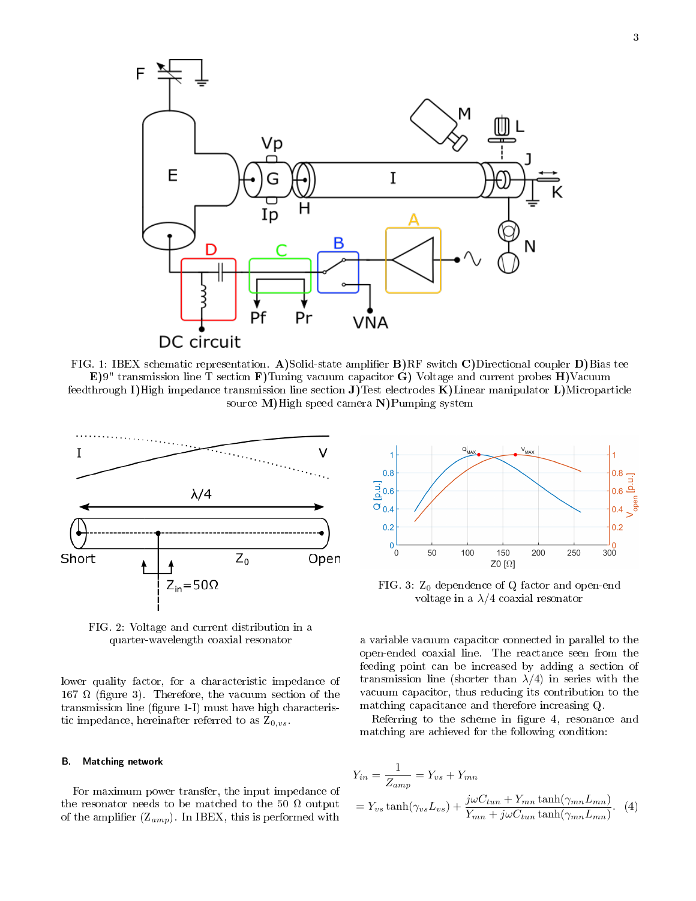

FIG. 1: IBEX schematic representation. A)Solid-state amplier B)RF switch C)Directional coupler D)Bias tee E)9" transmission line T section F)Tuning vacuum capacitor G) Voltage and current probes H)Vacuum feedthrough I)High impedance transmission line section J)Test electrodes K)Linear manipulator L)Microparticle source M)High speed camera N)Pumping system



FIG. 2: Voltage and current distribution in a quarter-wavelength coaxial resonator

lower quality factor, for a characteristic impedance of 167  $\Omega$  (figure 3). Therefore, the vacuum section of the transmission line (figure 1-I) must have high characteristic impedance, hereinafter referred to as  $Z_{0,vs.}$ 

# B. Matching network

For maximum power transfer, the input impedance of the resonator needs to be matched to the 50  $\Omega$  output of the amplifier  $(Z_{amp})$ . In IBEX, this is performed with



FIG. 3:  $Z_0$  dependence of Q factor and open-end voltage in a  $\lambda/4$  coaxial resonator

a variable vacuum capacitor connected in parallel to the open-ended coaxial line. The reactance seen from the feeding point can be increased by adding a section of transmission line (shorter than  $\lambda/4$ ) in series with the vacuum capacitor, thus reducing its contribution to the matching capacitance and therefore increasing Q.

Referring to the scheme in figure 4, resonance and matching are achieved for the following condition:

$$
Y_{in} = \frac{1}{Z_{amp}} = Y_{vs} + Y_{mn}
$$
  
=  $Y_{vs} \tanh(\gamma_{vs} L_{vs}) + \frac{j\omega C_{tun} + Y_{mn} \tanh(\gamma_{mn} L_{mn})}{Y_{mn} + j\omega C_{tun} \tanh(\gamma_{mn} L_{mn})}$ . (4)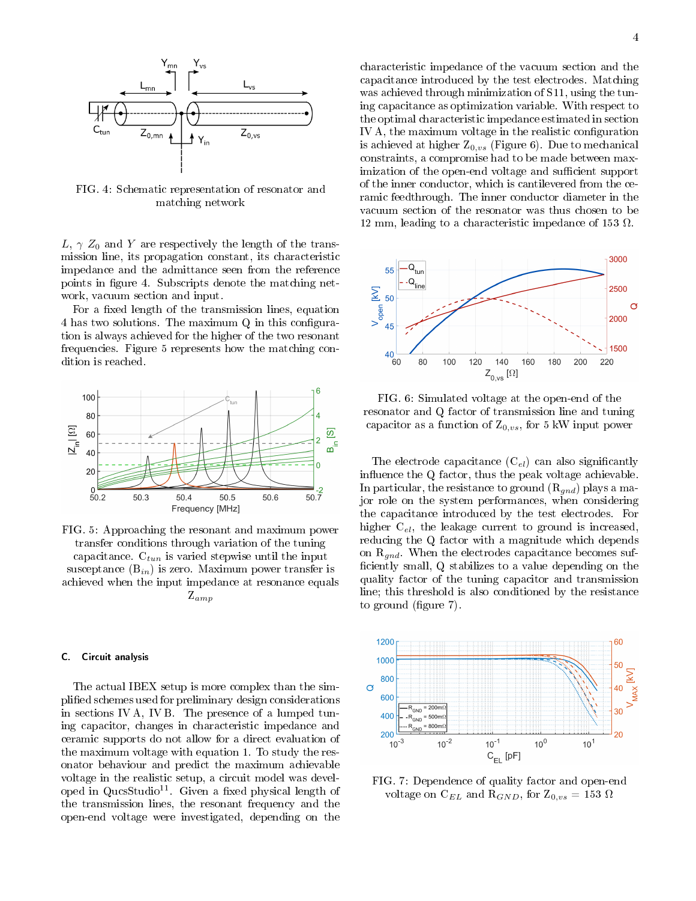

FIG. 4: Schematic representation of resonator and matching network

L,  $\gamma$  Z<sub>0</sub> and Y are respectively the length of the transmission line, its propagation constant, its characteristic impedance and the admittance seen from the reference points in figure 4. Subscripts denote the matching network, vacuum section and input.

For a fixed length of the transmission lines, equation 4 has two solutions. The maximum  $Q$  in this configuration is always achieved for the higher of the two resonant frequencies. Figure 5 represents how the matching condition is reached.



FIG. 5: Approaching the resonant and maximum power transfer conditions through variation of the tuning capacitance.  $C_{tun}$  is varied stepwise until the input susceptance  $(B_{in})$  is zero. Maximum power transfer is achieved when the input impedance at resonance equals Zamp

# C. Circuit analysis

The actual IBEX setup is more complex than the simplied schemes used for preliminary design considerations in sections IV A, IV B. The presence of a lumped tuning capacitor, changes in characteristic impedance and ceramic supports do not allow for a direct evaluation of the maximum voltage with equation 1. To study the resonator behaviour and predict the maximum achievable voltage in the realistic setup, a circuit model was developed in  $QucsStudio<sup>11</sup>$ . Given a fixed physical length of the transmission lines, the resonant frequency and the open-end voltage were investigated, depending on the

characteristic impedance of the vacuum section and the capacitance introduced by the test electrodes. Matching was achieved through minimization of S11, using the tuning capacitance as optimization variable. With respect to the optimal characteristic impedance estimated in section IV A, the maximum voltage in the realistic configuration is achieved at higher  $Z_{0,vs}$  (Figure 6). Due to mechanical constraints, a compromise had to be made between maximization of the open-end voltage and sufficient support of the inner conductor, which is cantilevered from the ceramic feedthrough. The inner conductor diameter in the vacuum section of the resonator was thus chosen to be 12 mm, leading to a characteristic impedance of 153  $\Omega$ .



FIG. 6: Simulated voltage at the open-end of the resonator and Q factor of transmission line and tuning capacitor as a function of  $Z_{0,vs}$ , for 5 kW input power

The electrode capacitance  $(C_{el})$  can also significantly influence the  $Q$  factor, thus the peak voltage achievable. In particular, the resistance to ground  $(R_{gnd})$  plays a major role on the system performances, when considering the capacitance introduced by the test electrodes. For higher  $C_{el}$ , the leakage current to ground is increased, reducing the Q factor with a magnitude which depends on  $R_{qnd}$ . When the electrodes capacitance becomes sufficiently small, Q stabilizes to a value depending on the quality factor of the tuning capacitor and transmission line; this threshold is also conditioned by the resistance to ground  $(f_{\text{square}} 7)$ .



FIG. 7: Dependence of quality factor and open-end voltage on C<sub>EL</sub> and R<sub>GND</sub>, for  $Z_{0,vs} = 153 \Omega$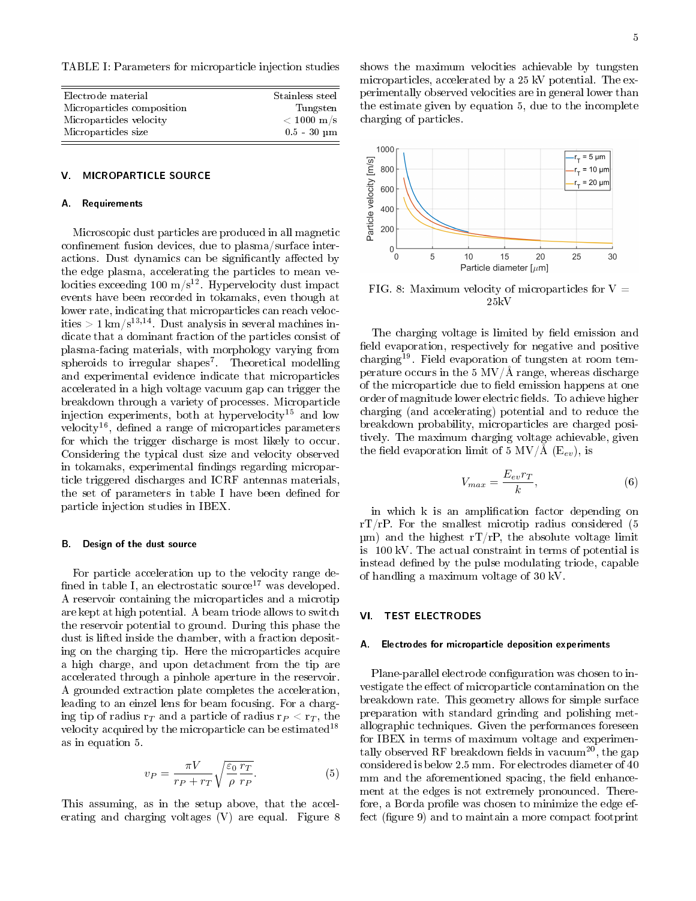TABLE I: Parameters for microparticle injection studies

| Electrode material         | Stainless steel    |
|----------------------------|--------------------|
| Microparticles composition | Tungsten           |
| Microparticles velocity    | $< 1000~{\rm m/s}$ |
| Microparticles size        | $0.5 - 30 \mu m$   |
|                            |                    |

## V. MICROPARTICLE SOURCE

#### A. Requirements

Microscopic dust particles are produced in all magnetic confinement fusion devices, due to plasma/surface interactions. Dust dynamics can be significantly affected by the edge plasma, accelerating the particles to mean velocities exceeding 100 m/s<sup>12</sup>. Hypervelocity dust impact events have been recorded in tokamaks, even though at lower rate, indicating that microparticles can reach velocities > 1 km/s<sup>13,14</sup>. Dust analysis in several machines indicate that a dominant fraction of the particles consist of plasma-facing materials, with morphology varying from spheroids to irregular shapes<sup>7</sup>. Theoretical modelling and experimental evidence indicate that microparticles accelerated in a high voltage vacuum gap can trigger the breakdown through a variety of processes. Microparticle injection experiments, both at hypervelocity<sup>15</sup> and low velocity<sup>16</sup>, defined a range of microparticles parameters for which the trigger discharge is most likely to occur. Considering the typical dust size and velocity observed in tokamaks, experimental findings regarding microparticle triggered discharges and ICRF antennas materials, the set of parameters in table I have been defined for particle injection studies in IBEX.

## B. Design of the dust source

For particle acceleration up to the velocity range de fined in table I, an electrostatic source<sup>17</sup> was developed. A reservoir containing the microparticles and a microtip are kept at high potential. A beam triode allows to switch the reservoir potential to ground. During this phase the dust is lifted inside the chamber, with a fraction depositing on the charging tip. Here the microparticles acquire a high charge, and upon detachment from the tip are accelerated through a pinhole aperture in the reservoir. A grounded extraction plate completes the acceleration, leading to an einzel lens for beam focusing. For a charging tip of radius  $r<sub>T</sub>$  and a particle of radius  $r<sub>P</sub> < r<sub>T</sub>$ , the velocity acquired by the microparticle can be estimated<sup>18</sup> as in equation 5.

$$
v_P = \frac{\pi V}{r_P + r_T} \sqrt{\frac{\varepsilon_0}{\rho} \frac{r_T}{r_P}}.
$$
 (5)

This assuming, as in the setup above, that the accelerating and charging voltages (V) are equal. Figure 8 shows the maximum velocities achievable by tungsten microparticles, accelerated by a 25 kV potential. The experimentally observed velocities are in general lower than the estimate given by equation 5, due to the incomplete charging of particles.



FIG. 8: Maximum velocity of microparticles for  $V =$ 25kV

The charging voltage is limited by field emission and field evaporation, respectively for negative and positive charging<sup>19</sup>. Field evaporation of tungsten at room temperature occurs in the 5  $MV/\AA$  range, whereas discharge of the microparticle due to field emission happens at one order of magnitude lower electric fields. To achieve higher charging (and accelerating) potential and to reduce the breakdown probability, microparticles are charged positively. The maximum charging voltage achievable, given the field evaporation limit of 5 MV/Å ( $E_{ev}$ ), is

$$
V_{max} = \frac{E_{ev}r_T}{k},\tag{6}
$$

in which k is an amplification factor depending on  $rT/rP$ . For the smallest microtip radius considered (5)  $\mu$ m) and the highest rT/rP, the absolute voltage limit is 100 kV. The actual constraint in terms of potential is instead defined by the pulse modulating triode, capable of handling a maximum voltage of 30 kV.

## VI. TEST ELECTRODES

#### A. Electrodes for microparticle deposition experiments

Plane-parallel electrode configuration was chosen to investigate the effect of microparticle contamination on the breakdown rate. This geometry allows for simple surface preparation with standard grinding and polishing metallographic techniques. Given the performances foreseen for IBEX in terms of maximum voltage and experimentally observed RF breakdown fields in vacuum<sup>20</sup>, the gap considered is below 2.5 mm. For electrodes diameter of 40 mm and the aforementioned spacing, the field enhancement at the edges is not extremely pronounced. Therefore, a Borda profile was chosen to minimize the edge effect (figure 9) and to maintain a more compact footprint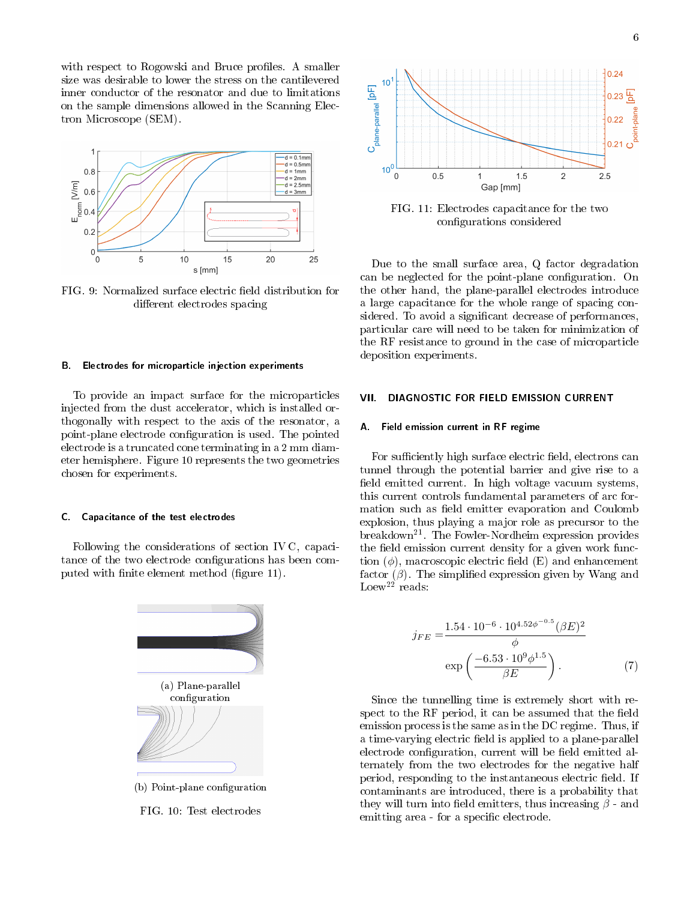with respect to Rogowski and Bruce profiles. A smaller size was desirable to lower the stress on the cantilevered inner conductor of the resonator and due to limitations on the sample dimensions allowed in the Scanning Electron Microscope (SEM).



FIG. 9: Normalized surface electric field distribution for different electrodes spacing

#### B. Electrodes for microparticle injection experiments

To provide an impact surface for the microparticles injected from the dust accelerator, which is installed orthogonally with respect to the axis of the resonator, a point-plane electrode configuration is used. The pointed electrode is a truncated cone terminating in a 2 mm diameter hemisphere. Figure 10 represents the two geometries chosen for experiments.

#### C. Capacitance of the test electrodes

Following the considerations of section IV C, capacitance of the two electrode configurations has been computed with finite element method (figure 11).



FIG. 10: Test electrodes



FIG. 11: Electrodes capacitance for the two configurations considered

Due to the small surface area, Q factor degradation can be neglected for the point-plane configuration. On the other hand, the plane-parallel electrodes introduce a large capacitance for the whole range of spacing considered. To avoid a significant decrease of performances, particular care will need to be taken for minimization of the RF resistance to ground in the case of microparticle deposition experiments.

# VII. DIAGNOSTIC FOR FIELD EMISSION CURRENT

### A. Field emission current in RF regime

For sufficiently high surface electric field, electrons can tunnel through the potential barrier and give rise to a field emitted current. In high voltage vacuum systems, this current controls fundamental parameters of arc formation such as field emitter evaporation and Coulomb explosion, thus playing a major role as precursor to the breakdown<sup>21</sup>. The Fowler-Nordheim expression provides the field emission current density for a given work function  $(\phi)$ , macroscopic electric field  $(E)$  and enhancement factor  $(\beta)$ . The simplified expression given by Wang and Loew<sup>22</sup> reads:

$$
j_{FE} = \frac{1.54 \cdot 10^{-6} \cdot 10^{4.52\phi^{-0.5}} (\beta E)^2}{\phi}
$$

$$
\exp\left(\frac{-6.53 \cdot 10^9 \phi^{1.5}}{\beta E}\right). \tag{7}
$$

Since the tunnelling time is extremely short with respect to the RF period, it can be assumed that the field emission process is the same as in the DC regime. Thus, if a time-varying electric field is applied to a plane-parallel electrode configuration, current will be field emitted alternately from the two electrodes for the negative half period, responding to the instantaneous electric field. If contaminants are introduced, there is a probability that they will turn into field emitters, thus increasing  $\beta$  - and emitting area - for a specific electrode.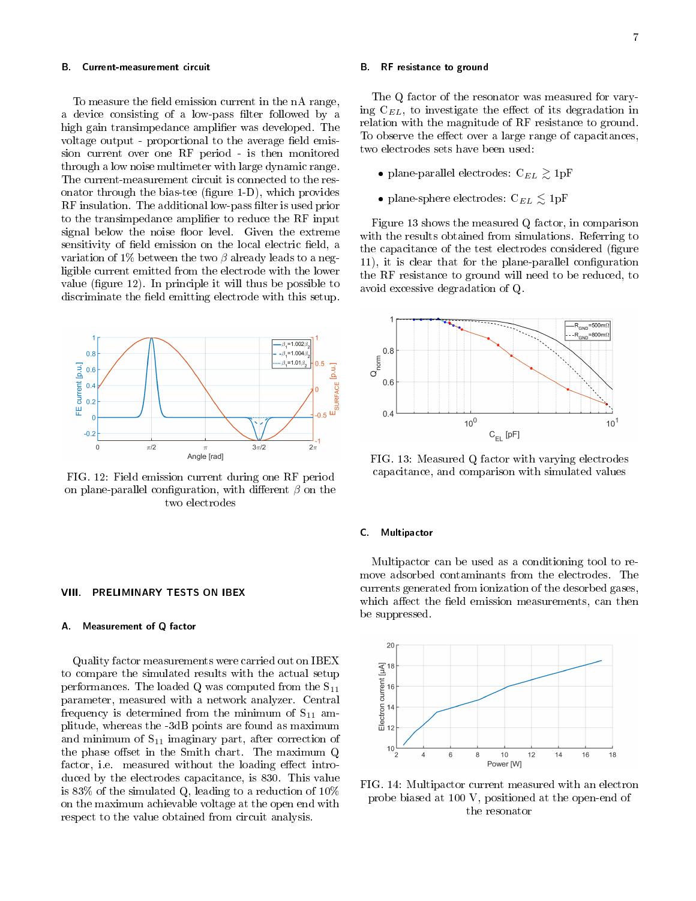#### B. Current-measurement circuit

To measure the field emission current in the nA range, a device consisting of a low-pass filter followed by a high gain transimpedance amplifier was developed. The voltage output - proportional to the average field emission current over one RF period - is then monitored through a low noise multimeter with large dynamic range. The current-measurement circuit is connected to the resonator through the bias-tee (figure  $1-D$ ), which provides RF insulation. The additional low-pass filter is used prior to the transimpedance amplifier to reduce the RF input signal below the noise floor level. Given the extreme sensitivity of field emission on the local electric field, a variation of 1% between the two  $\beta$  already leads to a negligible current emitted from the electrode with the lower value (figure  $12$ ). In principle it will thus be possible to discriminate the field emitting electrode with this setup.



FIG. 12: Field emission current during one RF period on plane-parallel configuration, with different  $\beta$  on the two electrodes

#### VIII. PRELIMINARY TESTS ON IBEX

#### A. Measurement of Q factor

Quality factor measurements were carried out on IBEX to compare the simulated results with the actual setup performances. The loaded Q was computed from the  $S_{11}$ parameter, measured with a network analyzer. Central frequency is determined from the minimum of  $S_{11}$  amplitude, whereas the -3dB points are found as maximum and minimum of  $S_{11}$  imaginary part, after correction of the phase offset in the Smith chart. The maximum  $Q$ factor, i.e. measured without the loading effect introduced by the electrodes capacitance, is 830. This value is 83% of the simulated Q, leading to a reduction of 10% on the maximum achievable voltage at the open end with respect to the value obtained from circuit analysis.

#### B. RF resistance to ground

The Q factor of the resonator was measured for varying  $C_{EL}$ , to investigate the effect of its degradation in relation with the magnitude of RF resistance to ground. To observe the effect over a large range of capacitances, two electrodes sets have been used:

- plane-parallel electrodes:  $C_{EL} \gtrsim 1pF$
- plane-sphere electrodes:  $C_{EL} \lesssim 1 \text{pF}$

Figure 13 shows the measured Q factor, in comparison with the results obtained from simulations. Referring to the capacitance of the test electrodes considered (figure 11), it is clear that for the plane-parallel configuration the RF resistance to ground will need to be reduced, to avoid excessive degradation of Q.



FIG. 13: Measured Q factor with varying electrodes capacitance, and comparison with simulated values

# C. Multipactor

Multipactor can be used as a conditioning tool to remove adsorbed contaminants from the electrodes. The currents generated from ionization of the desorbed gases, which affect the field emission measurements, can then be suppressed.



FIG. 14: Multipactor current measured with an electron probe biased at 100 V, positioned at the open-end of the resonator